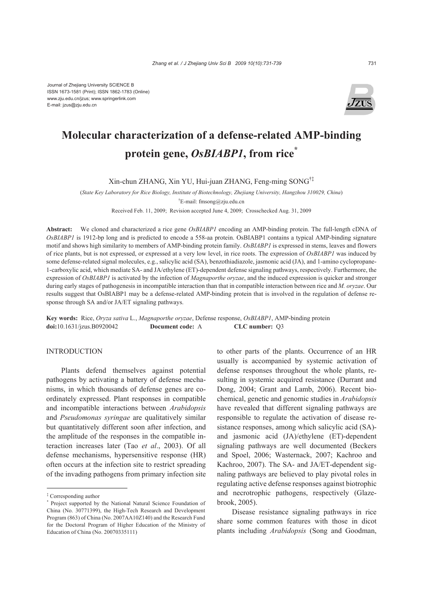

# **Molecular characterization of a defense-related AMP-binding protein gene,** *OsBIABP1***, from rice\***

Xin-chun ZHANG, Xin YU, Hui-juan ZHANG, Feng-ming SONG†‡

(*State Key Laboratory for Rice Biology, Institute of Biotechnology, Zhejiang University, Hangzhou 310029, China*) † E-mail: fmsong@zju.edu.cn

Received Feb. 11, 2009; Revision accepted June 4, 2009; Crosschecked Aug. 31, 2009

**Abstract:** We cloned and characterized a rice gene *OsBIABP1* encoding an AMP-binding protein. The full-length cDNA of *OsBIABP1* is 1912-bp long and is predicted to encode a 558-aa protein. OsBIABP1 contains a typical AMP-binding signature motif and shows high similarity to members of AMP-binding protein family. *OsBIABP1* is expressed in stems, leaves and flowers of rice plants, but is not expressed, or expressed at a very low level, in rice roots. The expression of *OsBIABP1* was induced by some defense-related signal molecules, e.g., salicylic acid (SA), benzothiadiazole, jasmonic acid (JA), and 1-amino cyclopropane-1-carboxylic acid, which mediate SA- and JA/ethylene (ET)-dependent defense signaling pathways, respectively. Furthermore, the expression of *OsBIABP1* is activated by the infection of *Magnaporthe oryzae*, and the induced expression is quicker and stronger during early stages of pathogenesis in incompatible interaction than that in compatible interaction between rice and *M. oryzae*. Our results suggest that OsBIABP1 may be a defense-related AMP-binding protein that is involved in the regulation of defense response through SA and/or JA/ET signaling pathways.

**Key words:** Rice, *Oryza sativa* L., *Magnaporthe oryzae*, Defense response, *OsBIABP1*, AMP-binding protein **doi:**10.1631/jzus.B0920042 **Document code:** A **CLC number:** Q3

### **INTRODUCTION**

Plants defend themselves against potential pathogens by activating a battery of defense mechanisms, in which thousands of defense genes are coordinately expressed. Plant responses in compatible and incompatible interactions between *Arabidopsis* and *Pseudomonas syringae* are qualitatively similar but quantitatively different soon after infection, and the amplitude of the responses in the compatible interaction increases later (Tao *et al*., 2003). Of all defense mechanisms, hypersensitive response (HR) often occurs at the infection site to restrict spreading of the invading pathogens from primary infection site to other parts of the plants. Occurrence of an HR usually is accompanied by systemic activation of defense responses throughout the whole plants, resulting in systemic acquired resistance (Durrant and Dong, 2004; Grant and Lamb, 2006). Recent biochemical, genetic and genomic studies in *Arabidopsis* have revealed that different signaling pathways are responsible to regulate the activation of disease resistance responses, among which salicylic acid (SA) and jasmonic acid (JA)/ethylene (ET)-dependent signaling pathways are well documented (Beckers and Spoel, 2006; Wasternack, 2007; Kachroo and Kachroo, 2007). The SA- and JA/ET-dependent signaling pathways are believed to play pivotal roles in regulating active defense responses against biotrophic and necrotrophic pathogens, respectively (Glazebrook, 2005).

Disease resistance signaling pathways in rice share some common features with those in dicot plants including *Arabidopsis* (Song and Goodman,

<sup>‡</sup> Corresponding author

<sup>\*</sup> Project supported by the National Natural Science Foundation of China (No. 30771399), the High-Tech Research and Development Program (863) of China (No. 2007AA10Z140) and the Research Fund for the Doctoral Program of Higher Education of the Ministry of Education of China (No. 20070335111)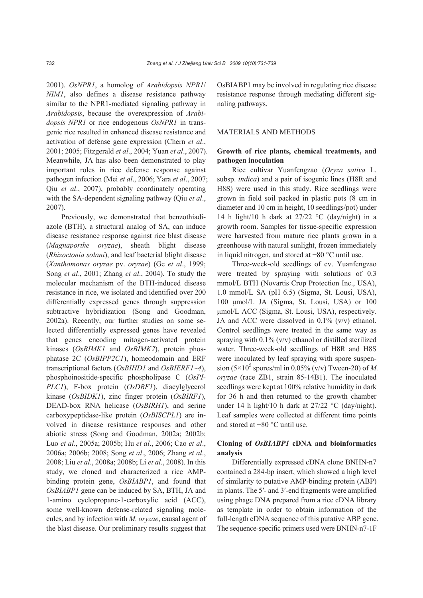2001). *OsNPR1*, a homolog of *Arabidopsis NPR1*/ *NIM1*, also defines a disease resistance pathway similar to the NPR1-mediated signaling pathway in *Arabidopsis*, because the overexpression of *Arabidopsis NPR1* or rice endogenous *OsNPR1* in transgenic rice resulted in enhanced disease resistance and activation of defense gene expression (Chern *et al*., 2001; 2005; Fitzgerald *et al*., 2004; Yuan *et al*., 2007). Meanwhile, JA has also been demonstrated to play important roles in rice defense response against pathogen infection (Mei *et al*., 2006; Yara *et al*., 2007; Qiu *et al*., 2007), probably coordinately operating with the SA-dependent signaling pathway (Qiu *et al*., 2007).

Previously, we demonstrated that benzothiadiazole (BTH), a structural analog of SA, can induce disease resistance response against rice blast disease (*Magnaporthe oryzae*), sheath blight disease (*Rhizoctonia solani*), and leaf bacterial blight disease (*Xanthomonas oryzae* pv. *oryzae*) (Ge *et al*., 1999; Song *et al*., 2001; Zhang *et al*., 2004). To study the molecular mechanism of the BTH-induced disease resistance in rice, we isolated and identified over 200 differentially expressed genes through suppression subtractive hybridization (Song and Goodman, 2002a). Recently, our further studies on some selected differentially expressed genes have revealed that genes encoding mitogen-activated protein kinases (*OsBIMK1* and *OsBIMK2*), protein phosphatase 2C (*OsBIPP2C1*), homeodomain and ERF transcriptional factors (*OsBIHD1* and *OsBIERF1~4*), phosphoinositide-specific phospholipase C (*OsPI-PLC1*), F-box protein (*OsDRF1*), diacylglycerol kinase (*OsBIDK1*), zinc finger protein (*OsBIRF1*), DEAD-box RNA helicase (*OsBIRH1*), and serine carboxypeptidase-like protein (*OsBISCPL1*) are involved in disease resistance responses and other abiotic stress (Song and Goodman, 2002a; 2002b; Luo *et al*., 2005a; 2005b; Hu *et al*., 2006; Cao *et al*., 2006a; 2006b; 2008; Song *et al*., 2006; Zhang *et al*., 2008; Liu *et al*., 2008a; 2008b; Li *et al*., 2008). In this study, we cloned and characterized a rice AMPbinding protein gene, *OsBIABP1*, and found that *OsBIABP1* gene can be induced by SA, BTH, JA and 1-amino cyclopropane-1-carboxylic acid (ACC), some well-known defense-related signaling molecules, and by infection with *M. oryzae*, causal agent of the blast disease. Our preliminary results suggest that OsBIABP1 may be involved in regulating rice disease resistance response through mediating different signaling pathways.

#### MATERIALS AND METHODS

# **Growth of rice plants, chemical treatments, and pathogen inoculation**

Rice cultivar Yuanfengzao (*Oryza sativa* L. subsp. *indica*) and a pair of isogenic lines (H8R and H8S) were used in this study. Rice seedlings were grown in field soil packed in plastic pots (8 cm in diameter and 10 cm in height, 10 seedlings/pot) under 14 h light/10 h dark at  $27/22$  °C (day/night) in a growth room. Samples for tissue-specific expression were harvested from mature rice plants grown in a greenhouse with natural sunlight, frozen immediately in liquid nitrogen, and stored at −80 °C until use.

Three-week-old seedlings of cv. Yuanfengzao were treated by spraying with solutions of 0.3 mmol/L BTH (Novartis Crop Protection Inc., USA), 1.0 mmol/L SA (pH 6.5) (Sigma, St. Lousi, USA), 100 μmol/L JA (Sigma, St. Lousi, USA) or 100 μmol/L ACC (Sigma, St. Lousi, USA), respectively. JA and ACC were dissolved in  $0.1\%$  (v/v) ethanol. Control seedlings were treated in the same way as spraying with  $0.1\%$  (v/v) ethanol or distilled sterilized water. Three-week-old seedlings of H8R and H8S were inoculated by leaf spraying with spore suspen $sion (5 \times 10^5 \text{ spores/ml in } 0.05\% \text{ (v/v) Tween-20) of } M.$ *oryzae* (race ZB1, strain 85-14B1). The inoculated seedlings were kept at 100% relative humidity in dark for 36 h and then returned to the growth chamber under 14 h light/10 h dark at 27/22 °C (day/night). Leaf samples were collected at different time points and stored at −80 °C until use.

# **Cloning of** *OsBIABP1* **cDNA and bioinformatics analysis**

Differentially expressed cDNA clone BNHN-n7 contained a 284-bp insert, which showed a high level of similarity to putative AMP-binding protein (ABP) in plants. The 5′- and 3′-end fragments were amplified using phage DNA prepared from a rice cDNA library as template in order to obtain information of the full-length cDNA sequence of this putative ABP gene. The sequence-specific primers used were BNHN-n7-1F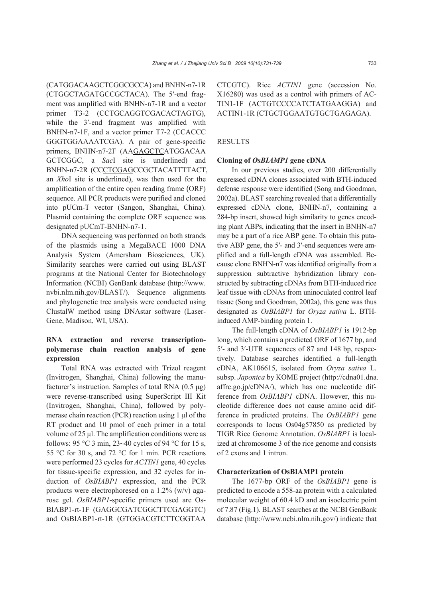(CATGGACAAGCTCGGCGCCA) and BNHN-n7-1R (CTGGCTAGATGCCGCTACA). The 5′-end fragment was amplified with BNHN-n7-1R and a vector primer T3-2 (CCTGCAGGTCGACACTAGTG), while the 3'-end fragment was amplified with BNHN-n7-1F, and a vector primer T7-2 (CCACCC GGGTGGAAAATCGA). A pair of gene-specific primers, BNHN-n7-2F (AAGAGCTCATGGACAA GCTCGGC, a *Sac*I site is underlined) and BNHN-n7-2R (CCCTCGAGCCGCTACATTTTACT, an *Xho*I site is underlined), was then used for the amplification of the entire open reading frame (ORF) sequence. All PCR products were purified and cloned into pUCm-T vector (Sangon, Shanghai, China). Plasmid containing the complete ORF sequence was designated pUCmT*-*BNHN-n7-1.

DNA sequencing was performed on both strands of the plasmids using a MegaBACE 1000 DNA Analysis System (Amersham Biosciences, UK). Similarity searches were carried out using BLAST programs at the National Center for Biotechnology Information (NCBI) GenBank database (http://www. nvbi.nlm.nih.gov/BLAST/). Sequence alignments and phylogenetic tree analysis were conducted using ClustalW method using DNAstar software (Laser-Gene, Madison, WI, USA).

# **RNA extraction and reverse transcriptionpolymerase chain reaction analysis of gene expression**

Total RNA was extracted with Trizol reagent (Invitrogen, Shanghai, China) following the manufacturer's instruction. Samples of total RNA (0.5 μg) were reverse-transcribed using SuperScript III Kit (Invitrogen, Shanghai, China), followed by polymerase chain reaction (PCR) reaction using 1 μl of the RT product and 10 pmol of each primer in a total volume of 25 μl. The amplification conditions were as follows: 95 °C 3 min, 23~40 cycles of 94 °C for 15 s, 55 °C for 30 s, and 72 °C for 1 min. PCR reactions were performed 23 cycles for *ACTIN1* gene, 40 cycles for tissue-specific expression, and 32 cycles for induction of *OsBIABP1* expression, and the PCR products were electrophoresed on a 1.2% (w/v) agarose gel. *OsBIABP1*-specific primers used are Os-BIABP1-rt-1F (GAGGCGATCGGCTTCGAGGTC) and OsBIABP1-rt-1R (GTGGACGTCTTCGGTAA CTCGTC). Rice *ACTIN1* gene (accession No. X16280) was used as a control with primers of AC-TIN1-1F (ACTGTCCCCATCTATGAAGGA) and ACTIN1-1R (CTGCTGGAATGTGCTGAGAGA).

#### RESULTS

#### **Cloning of** *OsBIAMP1* **gene cDNA**

In our previous studies, over 200 differentially expressed cDNA clones associated with BTH-induced defense response were identified (Song and Goodman, 2002a). BLAST searching revealed that a differentially expressed cDNA clone, BNHN-n7, containing a 284-bp insert, showed high similarity to genes encoding plant ABPs, indicating that the insert in BNHN-n7 may be a part of a rice ABP gene. To obtain this putative ABP gene, the 5′- and 3′-end sequences were amplified and a full-length cDNA was assembled. Because clone BNHN-n7 was identified originally from a suppression subtractive hybridization library constructed by subtracting cDNAs from BTH-induced rice leaf tissue with cDNAs from uninoculated control leaf tissue (Song and Goodman, 2002a), this gene was thus designated as *OsBIABP1* for *Oryza sativa* L. BTHinduced AMP-binding protein 1.

The full-length cDNA of *OsBIABP1* is 1912-bp long, which contains a predicted ORF of 1677 bp, and 5′- and 3′-UTR sequences of 87 and 148 bp, respectively. Database searches identified a full-length cDNA, AK106615, isolated from *Oryza sativa* L. subsp. *Japonica* by KOME project (http://cdna01.dna. affrc.go.jp/cDNA/), which has one nucleotide difference from *OsBIABP1* cDNA. However, this nucleotide difference does not cause amino acid difference in predicted proteins. The *OsBIABP1* gene corresponds to locus Os04g57850 as predicted by TIGR Rice Genome Annotation. *OsBIABP1* is localized at chromosome 3 of the rice genome and consists of 2 exons and 1 intron.

#### **Characterization of OsBIAMP1 protein**

The 1677-bp ORF of the *OsBIABP1* gene is predicted to encode a 558-aa protein with a calculated molecular weight of 60.4 kD and an isoelectric point of 7.87 (Fig.1). BLAST searches at the NCBI GenBank database (http://www.ncbi.nlm.nih.gov/) indicate that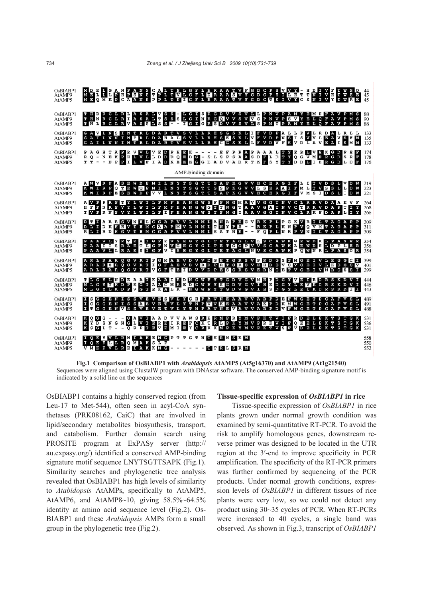

**Fig.1 Comparison of OsBIABP1 with** *Arabidopsis* **AtAMP5 (At5g16370) and AtAMP9 (At1g21540)**  Sequences were aligned using ClustalW program with DNAstar software. The conserved AMP-binding signature motif is indicated by a solid line on the sequences

OsBIABP1 contains a highly conserved region (from Leu-17 to Met-544), often seen in acyl-CoA synthetases (PRK08162, CaiC) that are involved in lipid/secondary metabolites biosynthesis, transport, and catabolism. Further domain search using PROSITE program at ExPASy server (http:// au.expasy.org/) identified a conserved AMP-binding signature motif sequence LNYTSGTTSAPK (Fig.1). Similarity searches and phylogenetic tree analysis revealed that OsBIABP1 has high levels of similarity to *Atabidopsis* AtAMPs, specifically to AtAMP5, AtAMP6, and AtAMP8~10, giving 58.5%~64.5% identity at amino acid sequence level (Fig.2). Os-BIABP1 and these *Arabidopsis* AMPs form a small group in the phylogenetic tree (Fig.2).

#### **Tissue-specific expression of** *OsBIABP1* **in rice**

Tissue-specific expression of *OsBIABP1* in rice plants grown under normal growth condition was examined by semi-quantitative RT-PCR. To avoid the risk to amplify homologous genes, downstream reverse primer was designed to be located in the UTR region at the 3′-end to improve specificity in PCR amplification. The specificity of the RT-PCR primers was further confirmed by sequencing of the PCR products. Under normal growth conditions, expression levels of *OsBIABP1* in different tissues of rice plants were very low, so we could not detect any product using 30~35 cycles of PCR. When RT-PCRs were increased to 40 cycles, a single band was observed. As shown in Fig.3, transcript of *OsBIABP1*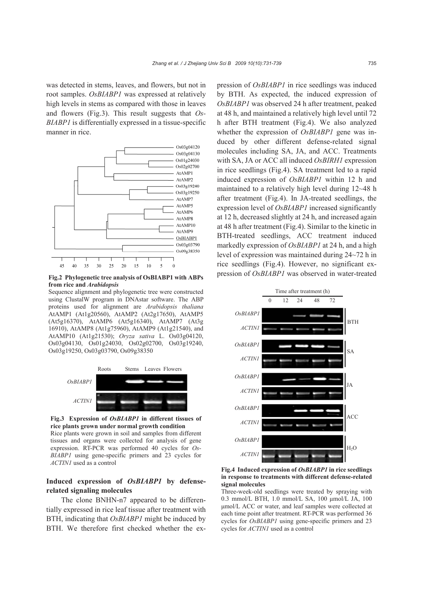was detected in stems, leaves, and flowers, but not in root samples. *OsBIABP1* was expressed at relatively high levels in stems as compared with those in leaves and flowers (Fig.3). This result suggests that *Os-BIABP1* is differentially expressed in a tissue-specific manner in rice.



**from rice and** *Arabidopsis*

Sequence alignment and phylogenetic tree were constructed using ClustalW program in DNAstar software. The ABP proteins used for alignment are *Arabidopsis thaliana*  AtAMP1 (At1g20560), AtAMP2 (At2g17650), AtAMP5 (At5g16370), AtAMP6 (At5g16340), AtAMP7 (At3g 16910), AtAMP8 (At1g75960), AtAMP9 (At1g21540), and AtAMP10 (At1g21530); *Oryza sativa* L. Os03g04120, Os03g04130, Os01g24030, Os02g02700, Os03g19240, Os03g19250, Os03g03790, Os09g38350



**Fig.3 Expression of** *OsBIABP1* **in different tissues of rice plants grown under normal growth condition** 

Rice plants were grown in soil and samples from different tissues and organs were collected for analysis of gene expression. RT-PCR was performed 40 cycles for *Os-BIABP1* using gene-specific primers and 23 cycles for *ACTIN1* used as a control

# **Induced expression of** *OsBIABP1* **by defenserelated signaling molecules**

The clone BNHN-n7 appeared to be differentially expressed in rice leaf tissue after treatment with BTH, indicating that *OsBIABP1* might be induced by BTH. We therefore first checked whether the ex-

pression of *OsBIABP1* in rice seedlings was induced by BTH. As expected, the induced expression of *OsBIABP1* was observed 24 h after treatment, peaked at 48 h, and maintained a relatively high level until 72 h after BTH treatment (Fig.4). We also analyzed whether the expression of *OsBIABP1* gene was induced by other different defense-related signal molecules including SA, JA, and ACC. Treatments with SA, JA or ACC all induced *OsBIRH1* expression in rice seedlings (Fig.4). SA treatment led to a rapid induced expression of *OsBIABP1* within 12 h and maintained to a relatively high level during 12~48 h after treatment (Fig.4). In JA-treated seedlings, the expression level of *OsBIABP1* increased significantly at 12 h, decreased slightly at 24 h, and increased again at 48 h after treatment (Fig.4). Similar to the kinetic in BTH-treated seedlings, ACC treatment induced markedly expression of *OsBIABP1* at 24 h, and a high level of expression was maintained during 24~72 h in rice seedlings (Fig.4). However, no significant expression of *OsBIABP1* was observed in water-treated **Fig.2 Phylogenetic tree analysis of OsBIABP1 with ABPs** 



**Fig.4 Induced expression of** *OsBIABP1* **in rice seedlings in response to treatments with different defense-related signal molecules** 

Three-week-old seedlings were treated by spraying with 0.3 mmol/L BTH, 1.0 mmol/L SA, 100 μmol/L JA, 100 μmol/L ACC or water, and leaf samples were collected at each time point after treatment. RT-PCR was performed 36 cycles for *OsBIABP1* using gene-specific primers and 23 cycles for *ACTIN1* used as a control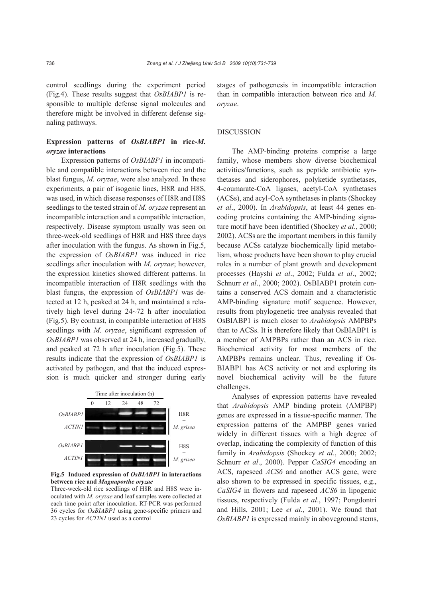control seedlings during the experiment period (Fig.4). These results suggest that *OsBIABP1* is responsible to multiple defense signal molecules and therefore might be involved in different defense signaling pathways.

# **Expression patterns of** *OsBIABP1* **in rice-***M. oryzae* **interactions**

Expression patterns of *OsBIABP1* in incompatible and compatible interactions between rice and the blast fungus, *M. oryzae*, were also analyzed. In these experiments, a pair of isogenic lines, H8R and H8S, was used, in which disease responses of H8R and H8S seedlings to the tested strain of *M. oryzae* represent an incompatible interaction and a compatible interaction, respectively. Disease symptom usually was seen on three-week-old seedlings of H8R and H8S three days after inoculation with the fungus. As shown in Fig.5, the expression of *OsBIABP1* was induced in rice seedlings after inoculation with *M. oryzae*; however, the expression kinetics showed different patterns. In incompatible interaction of H8R seedlings with the blast fungus, the expression of *OsBIABP1* was detected at 12 h, peaked at 24 h, and maintained a relatively high level during 24~72 h after inoculation (Fig.5). By contrast, in compatible interaction of H8S seedlings with *M. oryzae*, significant expression of *OsBIABP1* was observed at 24 h, increased gradually, and peaked at 72 h after inoculation (Fig.5). These results indicate that the expression of *OsBIABP1* is activated by pathogen, and that the induced expression is much quicker and stronger during early



**Fig.5 Induced expression of** *OsBIABP1* **in interactions between rice and** *Magnaporthe oryzae*

Three-week-old rice seedlings of H8R and H8S were inoculated with *M. oryzae* and leaf samples were collected at each time point after inoculation. RT-PCR was performed 36 cycles for *OsBIABP1* using gene-specific primers and 23 cycles for *ACTIN1* used as a control

stages of pathogenesis in incompatible interaction than in compatible interaction between rice and *M. oryzae*.

#### DISCUSSION

The AMP-binding proteins comprise a large family, whose members show diverse biochemical activities/functions, such as peptide antibiotic synthetases and siderophores, polyketide synthetases, 4-coumarate-CoA ligases, acetyl-CoA synthetases (ACSs), and acyl-CoA synthetases in plants (Shockey *et al*., 2000). In *Arabidopsis*, at least 44 genes encoding proteins containing the AMP-binding signature motif have been identified (Shockey *et al*., 2000; 2002). ACSs are the important members in this family because ACSs catalyze biochemically lipid metabolism, whose products have been shown to play crucial roles in a number of plant growth and development processes (Hayshi *et al*., 2002; Fulda *et al*., 2002; Schnurr *et al*., 2000; 2002). OsBIABP1 protein contains a conserved ACS domain and a characteristic AMP-binding signature motif sequence. However, results from phylogenetic tree analysis revealed that OsBIABP1 is much closer to *Arabidopsis* AMPBPs than to ACSs. It is therefore likely that OsBIABP1 is a member of AMPBPs rather than an ACS in rice. Biochemical activity for most members of the AMPBPs remains unclear. Thus, revealing if Os-BIABP1 has ACS activity or not and exploring its novel biochemical activity will be the future challenges.

Analyses of expression patterns have revealed that *Arabidopsis* AMP binding protein (AMPBP) genes are expressed in a tissue-specific manner. The expression patterns of the AMPBP genes varied widely in different tissues with a high degree of overlap, indicating the complexity of function of this family in *Arabidopsis* (Shockey *et al*., 2000; 2002; Schnurr *et al*., 2000). Pepper *CaSIG4* encoding an ACS, rapeseed *ACS6* and another ACS gene, were also shown to be expressed in specific tissues, e.g., *CaSIG4* in flowers and rapeseed *ACS6* in lipogenic tissues, respectively (Fulda *et al*., 1997; Pongdontri and Hills, 2001; Lee *et al*., 2001). We found that *OsBIABP1* is expressed mainly in aboveground stems,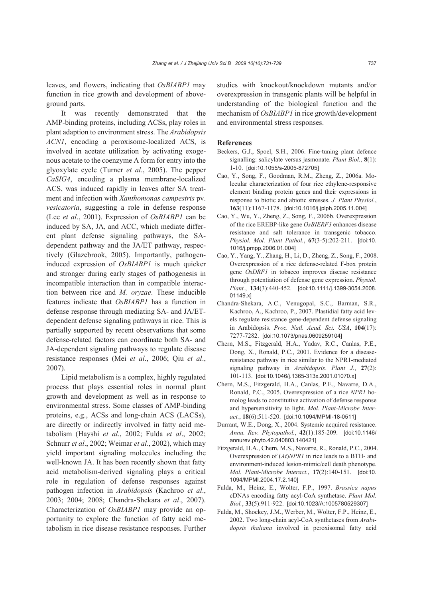leaves, and flowers, indicating that *OsBIABP1* may function in rice growth and development of aboveground parts.

It was recently demonstrated that the AMP-binding proteins, including ACSs, play roles in plant adaption to environment stress. The *Arabidopsis ACN1*, encoding a peroxisome-localized ACS, is involved in acetate utilization by activating exogenous acetate to the coenzyme A form for entry into the glyoxylate cycle (Turner *et al*., 2005). The pepper *CaSIG4*, encoding a plasma membrane-localized ACS, was induced rapidly in leaves after SA treatment and infection with *Xanthomonas campestris* pv. *vesicatoria*, suggesting a role in defense response (Lee *et al*., 2001). Expression of *OsBIABP1* can be induced by SA, JA, and ACC, which mediate different plant defense signaling pathways, the SAdependent pathway and the JA/ET pathway, respectively (Glazebrook, 2005). Importantly, pathogeninduced expression of *OsBIABP1* is much quicker and stronger during early stages of pathogenesis in incompatible interaction than in compatible interaction between rice and *M. oryzae*. These inducible features indicate that *OsBIABP1* has a function in defense response through mediating SA- and JA/ETdependent defense signaling pathways in rice. This is partially supported by recent observations that some defense-related factors can coordinate both SA- and JA-dependent signaling pathways to regulate disease resistance responses (Mei *et al*., 2006; Qiu *et al*., 2007).

Lipid metabolism is a complex, highly regulated process that plays essential roles in normal plant growth and development as well as in response to environmental stress. Some classes of AMP-binding proteins, e.g., ACSs and long-chain ACS (LACSs), are directly or indirectly involved in fatty acid metabolism (Hayshi *et al*., 2002; Fulda *et al*., 2002; Schnurr *et al*., 2002; Weimar *et al*., 2002), which may yield important signaling molecules including the well-known JA. It has been recently shown that fatty acid metabolism-derived signaling plays a critical role in regulation of defense responses against pathogen infection in *Arabidopsis* (Kachroo *et al*., 2003; 2004; 2008; Chandra-Shekara *et al*., 2007). Characterization of *OsBIABP1* may provide an opportunity to explore the function of fatty acid metabolism in rice disease resistance responses. Further studies with knockout/knockdown mutants and/or overexpression in transgenic plants will be helpful in understanding of the biological function and the mechanism of *OsBIABP1* in rice growth/development and environmental stress responses.

#### **References**

- Beckers, G.J., Spoel, S.H., 2006. Fine-tuning plant defence signalling: salicylate versus jasmonate. *Plant Biol.*, **8**(1): 1-10. [doi:10.1055/s-2005-872705]
- Cao, Y., Song, F., Goodman, R.M., Zheng, Z., 2006a. Molecular characterization of four rice ethylene-responsive element binding protein genes and their expressions in response to biotic and abiotic stresses. *J. Plant Physiol.*, **163**(11):1167-1178. [doi:10.1016/j.jplph.2005.11.004]
- Cao, Y., Wu, Y., Zheng, Z., Song, F., 2006b. Overexpression of the rice EREBP-like gene *OsBIERF3* enhances disease resistance and salt tolerance in transgenic tobacco. *Physiol. Mol. Plant Pathol.*, **67**(3-5):202-211. [doi:10. 1016/j.pmpp.2006.01.004]
- Cao, Y., Yang, Y., Zhang, H., Li, D., Zheng, Z., Song, F., 2008. Overexpression of a rice defense-related F-box protein gene *OsDRF1* in tobacco improves disease resistance through potentiation of defense gene expression. *Physiol. Plant.*, **134**(3):440-452. [doi:10.1111/j.1399-3054.2008. 01149.x]
- Chandra-Shekara, A.C., Venugopal, S.C., Barman, S.R., Kachroo, A., Kachroo, P., 2007. Plastidial fatty acid levels regulate resistance gene-dependent defense signaling in Arabidopsis. *Proc. Natl. Acad. Sci. USA*, **104**(17): 7277-7282. [doi:10.1073/pnas.0609259104]
- Chern, M.S., Fitzgerald, H.A., Yadav, R.C., Canlas, P.E., Dong, X., Ronald, P.C., 2001. Evidence for a diseaseresistance pathway in rice similar to the NPR1-mediated signaling pathway in *Arabidopsis*. *Plant J.*, **27**(2): 101-113. [doi:10.1046/j.1365-313x.2001.01070.x]
- Chern, M.S., Fitzgerald, H.A., Canlas, P.E., Navarre, D.A., Ronald, P.C., 2005. Overexpression of a rice *NPR1* homolog leads to constitutive activation of defense response and hypersensitivity to light. *Mol. Plant-Microbe Interact.*, **18**(6):511-520. [doi:10.1094/MPMI-18-0511]
- Durrant, W.E., Dong, X., 2004. Systemic acquired resistance. *Annu. Rev. Phytopathol.*, **42**(1):185-209. [doi:10.1146/ annurev.phyto.42.040803.140421]
- Fitzgerald, H.A., Chern, M.S., Navarre, R., Ronald, P.C., 2004. Overexpression of (*At*)*NPR1* in rice leads to a BTH- and environment-induced lesion-mimic/cell death phenotype. *Mol. Plant-Microbe Interact.*, **17**(2):140-151. [doi:10. 1094/MPMI.2004.17.2.140]
- Fulda, M., Heinz, E., Wolter, F.P., 1997. *Brassica napus* cDNAs encoding fatty acyl-CoA synthetase. *Plant Mol. Biol.*, **33**(5):911-922. [doi:10.1023/A:1005780529307]
- Fulda, M., Shockey, J.M., Werber, M., Wolter, F.P., Heinz, E., 2002. Two long-chain acyl-CoA synthetases from *Arabidopsis thaliana* involved in peroxisomal fatty acid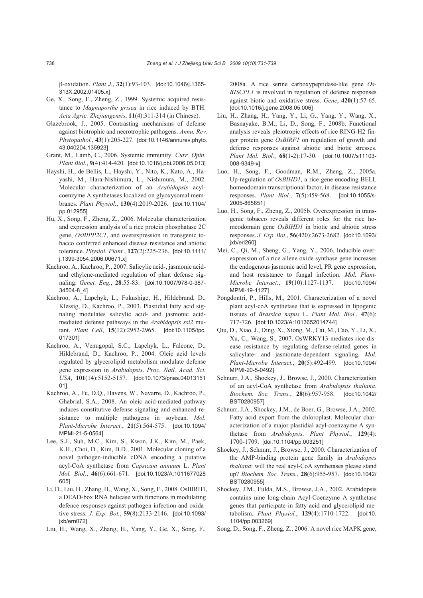β-oxidation. *Plant J.*, **32**(1):93-103. [doi:10.1046/j.1365- 313X.2002.01405.x]

- Ge, X., Song, F., Zheng, Z., 1999. Systemic acquired resistance to *Magnaporthe grisea* in rice induced by BTH. *Acta Agric. Zhejiangensis*, **11**(4):311-314 (in Chinese).
- Glazebrook, J., 2005. Contrasting mechanisms of defense against biotrophic and necrotrophic pathogens. *Annu. Rev. Phytopathol.*, **43**(1):205-227.[doi:10.1146/annurev.phyto. 43.040204.135923]
- Grant, M., Lamb, C., 2006. Systemic immunity. *Curr. Opin. Plant Biol.*, **9**(4):414-420. [doi:10.1016/j.pbi.2006.05.013]
- Hayshi, H., de Bellis, L., Hayshi, Y., Nito, K., Kato, A., Hayashi, M., Hara-Nishimura, L., Nishimura, M., 2002. Molecular characterization of an *Arabidopsis* acylcoenzyme A synthetases localized on glyoxysomal membranes. *Plant Physiol.*, **130**(4):2019-2026. [doi:10.1104/ pp.012955]
- Hu, X., Song, F., Zheng, Z., 2006. Molecular characterization and expression analysis of a rice protein phosphatase 2C gene, *OsBIPP2C1*, and overexpression in transgenic tobacco conferred enhanced disease resistance and abiotic tolerance. *Physiol. Plant.*, **127**(2):225-236. [doi:10.1111/ j.1399-3054.2006.00671.x]
- Kachroo, A., Kachroo, P., 2007. Salicylic acid-, jasmonic acidand ethylene-mediated regulation of plant defense signaling. *Genet. Eng.*, **28**:55-83. [doi:10.1007/978-0-387- 34504-8\_4]
- Kachroo, A., Lapchyk, L., Fukushige, H., Hildebrand, D., Klessig, D., Kachroo, P., 2003. Plastidial fatty acid signaling modulates salicylic acid- and jasmonic acidmediated defense pathways in the *Arabidopsis ssi2* mutant. *Plant Cell*, **15**(12):2952-2965. [doi:10.1105/tpc. 017301]
- Kachroo, A., Venugopal, S.C., Lapchyk, L., Falcone, D., Hildebrand, D., Kachroo, P., 2004. Oleic acid levels regulated by glycerolipid metabolism modulate defense gene expression in *Arabidopsis*. *Proc. Natl. Acad. Sci. USA*, **101**(14):5152-5157. [doi:10.1073/pnas.04013151 01]
- Kachroo, A., Fu, D.Q., Havens, W., Navarre, D., Kachroo, P., Ghabrial, S.A., 2008. An oleic acid-mediated pathway induces constitutive defense signaling and enhanced resistance to multiple pathogens in soybean. *Mol. Plant-Microbe Interact.*, **21**(5):564-575. [doi:10.1094/ MPMI-21-5-0564]
- Lee, S.J., Suh, M.C., Kim, S., Kwon, J.K., Kim, M., Paek, K.H., Choi, D., Kim, B.D., 2001. Molecular cloning of a novel pathogen-inducible cDNA encoding a putative acyl-CoA synthetase from *Capsicum annuum* L. *Plant Mol. Biol.*, **46**(6):661-671. [doi:10.1023/A:1011677028 605]
- Li, D., Liu, H., Zhang, H., Wang, X., Song, F., 2008. OsBIRH1, a DEAD-box RNA helicase with functions in modulating defence responses against pathogen infection and oxidative stress. *J. Exp. Bot.*, **59**(8):2133-2146. [doi:10.1093/ ixb/ern0721
- Liu, H., Wang, X., Zhang, H., Yang, Y., Ge, X., Song, F.,

2008a. A rice serine carboxypeptidase-like gene *Os-BISCPL1* is involved in regulation of defense responses against biotic and oxidative stress. *Gene*, **420**(1):57-65. [doi:10.1016/j.gene.2008.05.006]

- Liu, H., Zhang, H., Yang, Y., Li, G., Yang, Y., Wang, X., Basnayake, B.M., Li, D., Song, F., 2008b. Functional analysis reveals pleiotropic effects of rice RING-H2 finger protein gene *OsBIRF1* on regulation of growth and defense responses against abiotic and biotic stresses. *Plant Mol. Biol.*, **68**(1-2):17-30. [doi:10.1007/s11103- 008-9349-x]
- Luo, H., Song, F., Goodman, R.M., Zheng, Z., 2005a. Up-regulation of *OsBIHD1*, a rice gene encoding BELL homeodomain transcriptional factor, in disease resistance responses. *Plant Biol.*, **7**(5):459-568. [doi:10.1055/s-2005-865851]
- Luo, H., Song, F., Zheng, Z., 2005b. Overexpression in transgenic tobacco reveals different roles for the rice homeodomain gene *OsBIHD1* in biotic and abiotic stress responses. *J. Exp. Bot.*, **56**(420):2673-2682. [doi:10.1093/ jxb/eri260]
- Mei, C., Qi, M., Sheng, G., Yang, Y., 2006. Inducible overexpression of a rice allene oxide synthase gene increases the endogenous jasmonic acid level, PR gene expression, and host resistance to fungal infection. *Mol. Plant-Microbe Interact.*, **19**(10):1127-1137. [doi:10.1094/ MPMI-19-1127]
- Pongdontri, P., Hills, M., 2001. Characterization of a novel plant acyl-coA synthetase that is expressed in lipogenic tissues of *Brassica napus* L. *Plant Mol. Biol.*, **47**(6): 717-726. [doi:10.1023/A:1013652014744]
- Qiu, D., Xiao, J., Ding, X., Xiong, M., Cai, M., Cao, Y., Li, X., Xu, C., Wang, S., 2007. OsWRKY13 mediates rice disease resistance by regulating defense-related genes in salicylate- and jasmonate-dependent signaling. *Mol. Plant-Microbe Interact.*, **20**(5):492-499. [doi:10.1094/ MPMI-20-5-0492]
- Schnurr, J.A., Shockey, J., Browse, J., 2000. Characterization of an acyl-CoA synthetase from *Arabidopsis thaliana*. *Biochem. Soc. Trans.*, **28**(6):957-958. [doi:10.1042/ BST0280957]
- Schnurr, J.A., Shockey, J.M., de Boer, G., Browse, J.A., 2002. Fatty acid export from the chloroplast. Molecular characterization of a major plastidial acyl-coenzayme A synthetase from *Arabidopsis*. *Plant Physiol.*, **129**(4): 1700-1709. [doi:10.1104/pp.003251]
- Shockey, J., Schnurr, J., Browse, J., 2000. Characterization of the AMP-binding protein gene family in *Arabidopsis thaliana*: will the real acyl-CoA synthetases please stand up? *Biochem. Soc. Trans.*, **28**(6):955-957. [doi:10.1042/ BST0280955]
- Shockey, J.M., Fulda, M.S., Browse, J.A., 2002. Arabidopsis contains nine long-chain Acyl-Coenzyme A synthetase genes that participate in fatty acid and glycerolipid metabolism. *Plant Physiol.*, **129**(4):1710-1722. [doi:10. 1104/pp.003269]
- Song, D., Song, F., Zheng, Z., 2006. A novel rice MAPK gene,